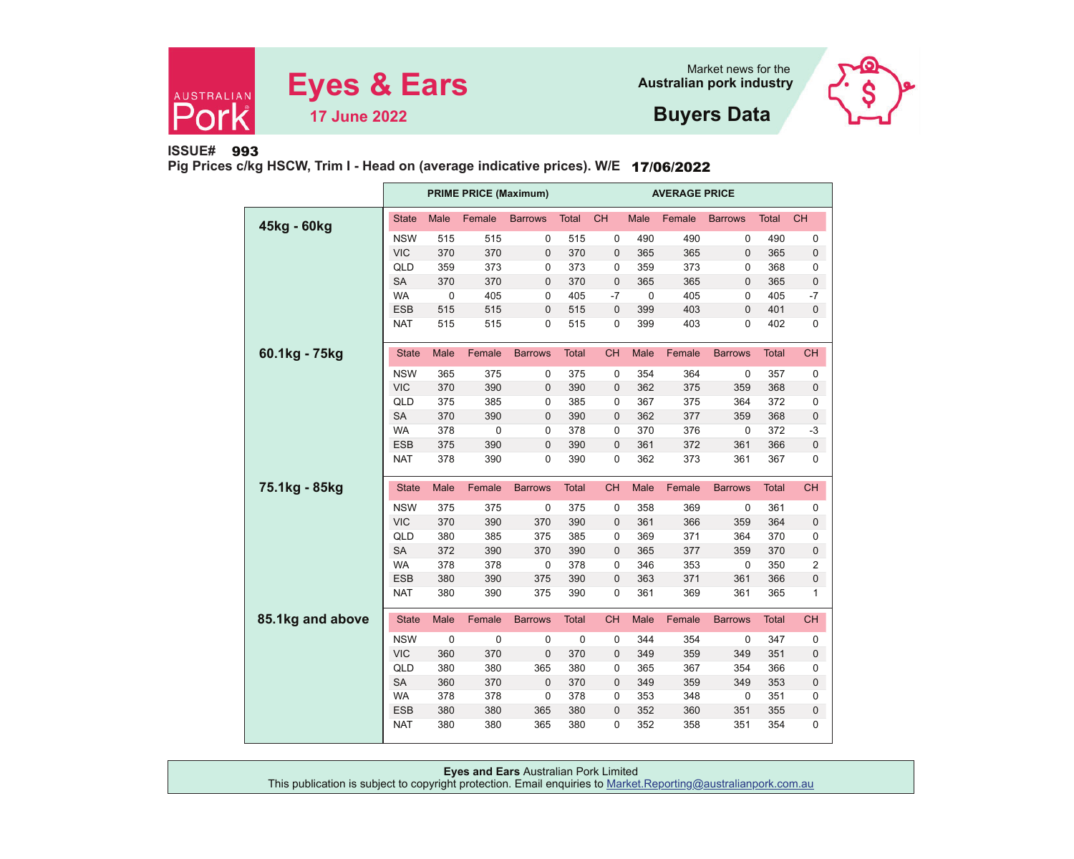



**Buyers Data**

**ISSUE#**993

**Pig Prices c/kg HSCW, Trim I - Head on (average indicative prices). W/E** 17/06/2022

|                  |              |             | <b>PRIME PRICE (Maximum)</b> |                | <b>AVERAGE PRICE</b> |              |             |        |                |              |                |
|------------------|--------------|-------------|------------------------------|----------------|----------------------|--------------|-------------|--------|----------------|--------------|----------------|
| 45kg - 60kg      | <b>State</b> | Male        | Female                       | <b>Barrows</b> | <b>Total</b>         | <b>CH</b>    | <b>Male</b> | Female | <b>Barrows</b> | <b>Total</b> | <b>CH</b>      |
|                  | <b>NSW</b>   | 515         | 515                          | 0              | 515                  | $\mathbf 0$  | 490         | 490    | 0              | 490          | 0              |
|                  | <b>VIC</b>   | 370         | 370                          | $\mathbf 0$    | 370                  | $\mathbf 0$  | 365         | 365    | $\mathbf 0$    | 365          | 0              |
|                  | QLD          | 359         | 373                          | 0              | 373                  | $\mathbf 0$  | 359         | 373    | 0              | 368          | 0              |
|                  | <b>SA</b>    | 370         | 370                          | $\mathbf 0$    | 370                  | $\mathbf 0$  | 365         | 365    | $\mathbf 0$    | 365          | $\pmb{0}$      |
|                  | <b>WA</b>    | $\mathbf 0$ | 405                          | $\mathbf 0$    | 405                  | $-7$         | $\mathbf 0$ | 405    | 0              | 405          | $-7$           |
|                  | <b>ESB</b>   | 515         | 515                          | $\pmb{0}$      | 515                  | $\mathbf 0$  | 399         | 403    | $\pmb{0}$      | 401          | $\pmb{0}$      |
|                  | <b>NAT</b>   | 515         | 515                          | $\mathbf 0$    | 515                  | 0            | 399         | 403    | 0              | 402          | 0              |
| 60.1kg - 75kg    | <b>State</b> | Male        | Female                       | <b>Barrows</b> | <b>Total</b>         | <b>CH</b>    | Male        | Female | <b>Barrows</b> | <b>Total</b> | <b>CH</b>      |
|                  | <b>NSW</b>   | 365         | 375                          | 0              | 375                  | 0            | 354         | 364    | 0              | 357          | 0              |
|                  | <b>VIC</b>   | 370         | 390                          | $\mathbf 0$    | 390                  | $\mathbf 0$  | 362         | 375    | 359            | 368          | 0              |
|                  | QLD          | 375         | 385                          | 0              | 385                  | 0            | 367         | 375    | 364            | 372          | 0              |
|                  | <b>SA</b>    | 370         | 390                          | $\mathbf 0$    | 390                  | $\mathbf 0$  | 362         | 377    | 359            | 368          | 0              |
|                  | <b>WA</b>    | 378         | $\mathbf 0$                  | $\mathbf 0$    | 378                  | $\mathbf 0$  | 370         | 376    | $\mathbf 0$    | 372          | $-3$           |
|                  | <b>ESB</b>   | 375         | 390                          | 0              | 390                  | $\mathbf{0}$ | 361         | 372    | 361            | 366          | $\pmb{0}$      |
|                  | <b>NAT</b>   | 378         | 390                          | 0              | 390                  | 0            | 362         | 373    | 361            | 367          | 0              |
| 75.1kg - 85kg    | <b>State</b> | Male        | Female                       | <b>Barrows</b> | <b>Total</b>         | <b>CH</b>    | Male        | Female | <b>Barrows</b> | <b>Total</b> | <b>CH</b>      |
|                  | <b>NSW</b>   | 375         | 375                          | 0              | 375                  | 0            | 358         | 369    | 0              | 361          | 0              |
|                  | <b>VIC</b>   | 370         | 390                          | 370            | 390                  | $\mathbf 0$  | 361         | 366    | 359            | 364          | 0              |
|                  | QLD          | 380         | 385                          | 375            | 385                  | 0            | 369         | 371    | 364            | 370          | 0              |
|                  | <b>SA</b>    | 372         | 390                          | 370            | 390                  | $\mathbf 0$  | 365         | 377    | 359            | 370          | $\pmb{0}$      |
|                  | <b>WA</b>    | 378         | 378                          | $\mathbf 0$    | 378                  | $\mathbf 0$  | 346         | 353    | $\pmb{0}$      | 350          | $\overline{2}$ |
|                  | <b>ESB</b>   | 380         | 390                          | 375            | 390                  | $\mathbf 0$  | 363         | 371    | 361            | 366          | $\pmb{0}$      |
|                  | <b>NAT</b>   | 380         | 390                          | 375            | 390                  | 0            | 361         | 369    | 361            | 365          | 1              |
| 85.1kg and above | <b>State</b> | Male        | Female                       | <b>Barrows</b> | Total                | <b>CH</b>    | Male        | Female | <b>Barrows</b> | Total        | <b>CH</b>      |
|                  | <b>NSW</b>   | $\mathbf 0$ | 0                            | 0              | 0                    | $\mathbf 0$  | 344         | 354    | 0              | 347          | 0              |
|                  | <b>VIC</b>   | 360         | 370                          | $\pmb{0}$      | 370                  | $\mathbf 0$  | 349         | 359    | 349            | 351          | $\pmb{0}$      |
|                  | QLD          | 380         | 380                          | 365            | 380                  | 0            | 365         | 367    | 354            | 366          | 0              |
|                  | <b>SA</b>    | 360         | 370                          | $\mathbf 0$    | 370                  | $\mathbf 0$  | 349         | 359    | 349            | 353          | 0              |
|                  | <b>WA</b>    | 378         | 378                          | $\mathbf 0$    | 378                  | $\mathbf 0$  | 353         | 348    | 0              | 351          | 0              |
|                  | <b>ESB</b>   | 380         | 380                          | 365            | 380                  | $\mathbf 0$  | 352         | 360    | 351            | 355          | $\pmb{0}$      |
|                  | <b>NAT</b>   | 380         | 380                          | 365            | 380                  | 0            | 352         | 358    | 351            | 354          | 0              |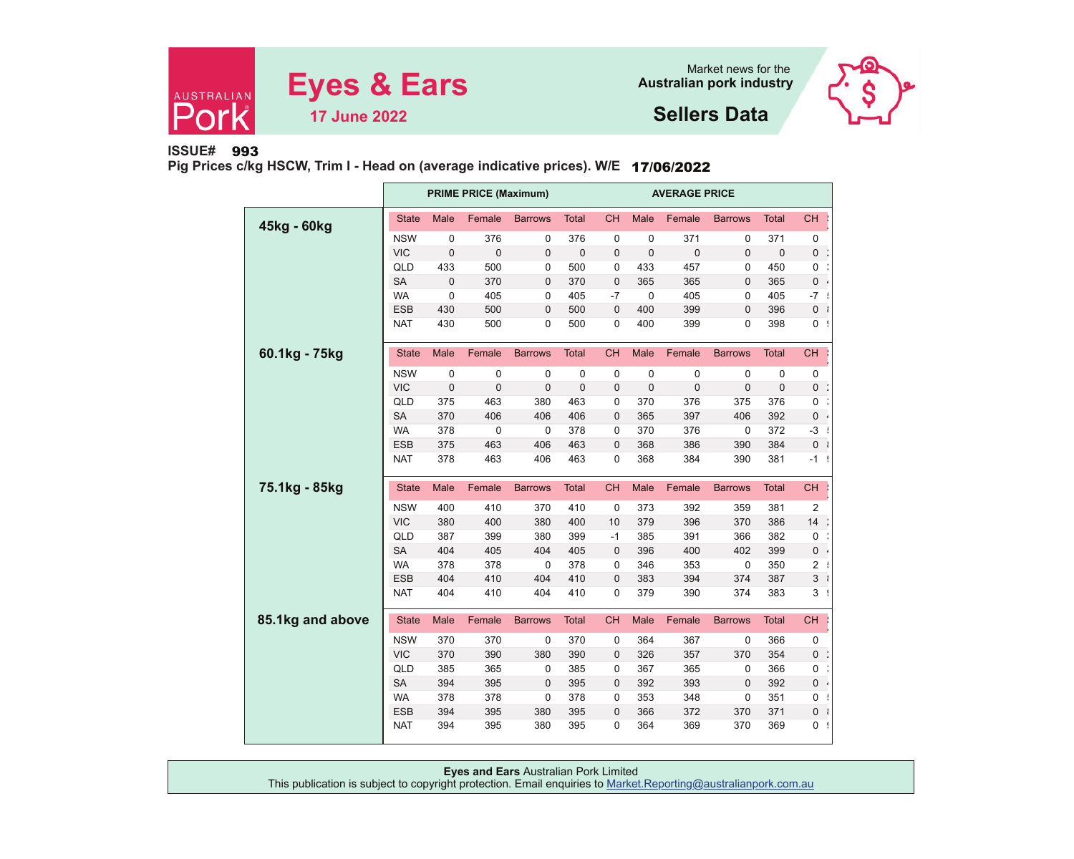



**Sellers Data**

## **ISSUE#**993

**Pig Prices c/kg HSCW, Trim I - Head on (average indicative prices). W/E** 17/06/2022

|                  |              |             | <b>PRIME PRICE (Maximum)</b> |                |              | <b>AVERAGE PRICE</b> |             |             |                |              |                |  |
|------------------|--------------|-------------|------------------------------|----------------|--------------|----------------------|-------------|-------------|----------------|--------------|----------------|--|
| 45kg - 60kg      | <b>State</b> | Male        | Female                       | <b>Barrows</b> | <b>Total</b> | <b>CH</b>            | Male        | Female      | <b>Barrows</b> | <b>Total</b> | <b>CH</b>      |  |
|                  | <b>NSW</b>   | 0           | 376                          | 0              | 376          | 0                    | 0           | 371         | 0              | 371          | 0              |  |
|                  | <b>VIC</b>   | $\mathbf 0$ | 0                            | 0              | $\mathbf 0$  | $\mathbf 0$          | $\mathbf 0$ | $\mathbf 0$ | $\mathbf 0$    | $\mathbf 0$  | 0              |  |
|                  | QLD          | 433         | 500                          | 0              | 500          | 0                    | 433         | 457         | 0              | 450          | 0              |  |
|                  | <b>SA</b>    | $\pmb{0}$   | 370                          | 0              | 370          | $\mathbf 0$          | 365         | 365         | 0              | 365          | $0$ .          |  |
|                  | <b>WA</b>    | 0           | 405                          | 0              | 405          | $-7$                 | $\mathbf 0$ | 405         | 0              | 405          | $-7$           |  |
|                  | ESB          | 430         | 500                          | 0              | 500          | $\mathbf 0$          | 400         | 399         | 0              | 396          | 0 <sup>1</sup> |  |
|                  | <b>NAT</b>   | 430         | 500                          | 0              | 500          | 0                    | 400         | 399         | 0              | 398          | $0$ !          |  |
| 60.1kg - 75kg    | <b>State</b> | Male        | Female                       | <b>Barrows</b> | <b>Total</b> | <b>CH</b>            | Male        | Female      | <b>Barrows</b> | <b>Total</b> | <b>CH</b>      |  |
|                  | <b>NSW</b>   | 0           | 0                            | 0              | 0            | 0                    | 0           | 0           | 0              | 0            | 0              |  |
|                  | <b>VIC</b>   | $\mathbf 0$ | $\mathbf 0$                  | 0              | $\mathbf 0$  | $\mathbf 0$          | $\mathbf 0$ | $\mathbf 0$ | $\mathbf 0$    | $\mathbf 0$  | 0              |  |
|                  | QLD          | 375         | 463                          | 380            | 463          | 0                    | 370         | 376         | 375            | 376          | 0              |  |
|                  | <b>SA</b>    | 370         | 406                          | 406            | 406          | $\mathbf 0$          | 365         | 397         | 406            | 392          | 0              |  |
|                  | <b>WA</b>    | 378         | $\pmb{0}$                    | 0              | 378          | 0                    | 370         | 376         | $\pmb{0}$      | 372          | $-3$           |  |
|                  | ESB          | 375         | 463                          | 406            | 463          | $\mathbf 0$          | 368         | 386         | 390            | 384          | 0 <sup>1</sup> |  |
|                  | <b>NAT</b>   | 378         | 463                          | 406            | 463          | 0                    | 368         | 384         | 390            | 381          | -1 !           |  |
| 75.1kg - 85kg    | <b>State</b> | Male        | Female                       | <b>Barrows</b> | <b>Total</b> | <b>CH</b>            | Male        | Female      | <b>Barrows</b> | <b>Total</b> | <b>CH</b>      |  |
|                  | <b>NSW</b>   | 400         | 410                          | 370            | 410          | 0                    | 373         | 392         | 359            | 381          | 2              |  |
|                  | <b>VIC</b>   | 380         | 400                          | 380            | 400          | 10                   | 379         | 396         | 370            | 386          | 14             |  |
|                  | QLD          | 387         | 399                          | 380            | 399          | $-1$                 | 385         | 391         | 366            | 382          | 0              |  |
|                  | <b>SA</b>    | 404         | 405                          | 404            | 405          | $\mathbf 0$          | 396         | 400         | 402            | 399          | 0              |  |
|                  | <b>WA</b>    | 378         | 378                          | $\mathbf 0$    | 378          | 0                    | 346         | 353         | $\mathbf 0$    | 350          | 2              |  |
|                  | ESB          | 404         | 410                          | 404            | 410          | 0                    | 383         | 394         | 374            | 387          | 3 <sup>1</sup> |  |
|                  | <b>NAT</b>   | 404         | 410                          | 404            | 410          | 0                    | 379         | 390         | 374            | 383          | 3 !            |  |
| 85.1kg and above | <b>State</b> | Male        | Female                       | <b>Barrows</b> | <b>Total</b> | <b>CH</b>            | Male        | Female      | <b>Barrows</b> | <b>Total</b> | <b>CH</b>      |  |
|                  | <b>NSW</b>   | 370         | 370                          | 0              | 370          | 0                    | 364         | 367         | 0              | 366          | 0              |  |
|                  | <b>VIC</b>   | 370         | 390                          | 380            | 390          | $\mathbf 0$          | 326         | 357         | 370            | 354          | 0              |  |
|                  | QLD          | 385         | 365                          | 0              | 385          | 0                    | 367         | 365         | 0              | 366          | 0              |  |
|                  | <b>SA</b>    | 394         | 395                          | 0              | 395          | $\mathbf 0$          | 392         | 393         | 0              | 392          | 0 <sub>1</sub> |  |
|                  | <b>WA</b>    | 378         | 378                          | 0              | 378          | 0                    | 353         | 348         | 0              | 351          | 0              |  |
|                  | <b>ESB</b>   | 394         | 395                          | 380            | 395          | $\mathbf 0$          | 366         | 372         | 370            | 371          | 0 <sup>1</sup> |  |
|                  | <b>NAT</b>   | 394         | 395                          | 380            | 395          | 0                    | 364         | 369         | 370            | 369          | 0 <sup>1</sup> |  |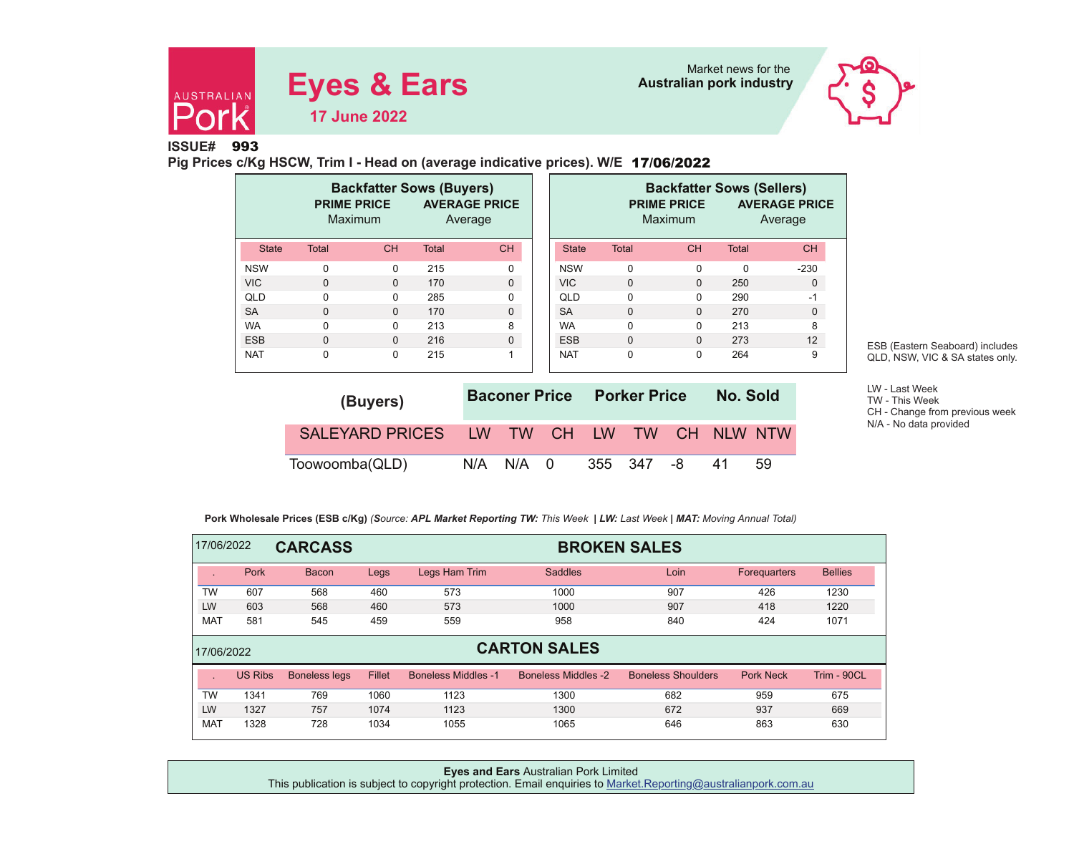



**ISSUE#** 993

**Pig Prices c/Kg HSCW, Trim I - Head on (average indicative prices). W/E** 17/06/2022

|              | <b>PRIME PRICE</b> | <b>Backfatter Sows (Buyers)</b><br>Maximum |              | <b>AVERAGE PRICE</b><br>Average |              |              | <b>Backfatter Sows (Sellers)</b><br><b>PRIME PRICE</b><br>Maximum |              | <b>AVERAGE PRICE</b><br>Average |
|--------------|--------------------|--------------------------------------------|--------------|---------------------------------|--------------|--------------|-------------------------------------------------------------------|--------------|---------------------------------|
| <b>State</b> | <b>Total</b>       | CH                                         | <b>Total</b> | <b>CH</b>                       | <b>State</b> | <b>Total</b> | <b>CH</b>                                                         | <b>Total</b> | <b>CH</b>                       |
| <b>NSW</b>   | $\Omega$           | 0                                          | 215          | 0                               | <b>NSW</b>   | $\mathbf 0$  | $\Omega$                                                          | $\Omega$     | $-230$                          |
| <b>VIC</b>   | $\mathbf{0}$       | $\Omega$                                   | 170          | $\mathbf 0$                     | <b>VIC</b>   | $\mathbf{0}$ | $\Omega$                                                          | 250          | 0                               |
| QLD          | $\Omega$           | 0                                          | 285          | 0                               | QLD          | $\mathbf 0$  | $\Omega$                                                          | 290          | $-1$                            |
| <b>SA</b>    | $\Omega$           | $\Omega$                                   | 170          | $\Omega$                        | <b>SA</b>    | $\mathbf{0}$ | $\Omega$                                                          | 270          | $\Omega$                        |
| <b>WA</b>    | $\Omega$           | 0                                          | 213          | 8                               | <b>WA</b>    | $\Omega$     | $\Omega$                                                          | 213          | 8                               |
| <b>ESB</b>   | $\Omega$           | $\Omega$                                   | 216          | $\Omega$                        | <b>ESB</b>   | $\Omega$     | $\Omega$                                                          | 273          | 12                              |
| <b>NAT</b>   | $\mathbf 0$        | 0                                          | 215          | 4                               | <b>NAT</b>   | $\mathbf 0$  | $\Omega$                                                          | 264          | 9                               |

| (Buyers)                                  |     |       |  | <b>Baconer Price Porker Price</b> | No. Sold |    |    |
|-------------------------------------------|-----|-------|--|-----------------------------------|----------|----|----|
| SALEYARD PRICES LW TW CH LW TW CH NLW NTW |     |       |  |                                   |          |    |    |
| Toowoomba(QLD)                            | N/A | N/A 0 |  | 355 347                           | -8       | 41 | 59 |

ESB (Eastern Seaboard) includes QLD, NSW, VIC & SA states only.

LW - Last Week TW - This Week CH - Change from previous week N/A - No data provided

 **Pork Wholesale Prices (ESB c/Kg)** *(Source: APL Market Reporting TW: This Week | LW: Last Week | MAT: Moving Annual Total)*

| 17/06/2022 |                | <b>CARCASS</b>       |        | <b>BROKEN SALES</b>        |                            |                           |                     |                |  |  |  |  |  |
|------------|----------------|----------------------|--------|----------------------------|----------------------------|---------------------------|---------------------|----------------|--|--|--|--|--|
|            | Pork           | <b>Bacon</b>         | Legs   | Legs Ham Trim              | <b>Saddles</b>             | Loin                      | <b>Forequarters</b> | <b>Bellies</b> |  |  |  |  |  |
| <b>TW</b>  | 607            | 568                  | 460    | 573                        | 1000                       | 907                       | 426                 | 1230           |  |  |  |  |  |
| LW         | 603            | 568                  | 460    | 573                        | 1000                       | 907                       | 418                 | 1220           |  |  |  |  |  |
| <b>MAT</b> | 581            | 545                  | 459    | 559                        | 958                        | 840                       | 424                 | 1071           |  |  |  |  |  |
| 17/06/2022 |                |                      |        |                            | <b>CARTON SALES</b>        |                           |                     |                |  |  |  |  |  |
|            | <b>US Ribs</b> | <b>Boneless legs</b> | Fillet | <b>Boneless Middles -1</b> | <b>Boneless Middles -2</b> | <b>Boneless Shoulders</b> | <b>Pork Neck</b>    | Trim - 90CL    |  |  |  |  |  |
| TW         | 1341           | 769                  | 1060   | 1123                       | 1300                       | 682                       | 959                 | 675            |  |  |  |  |  |
| LW         | 1327           | 757                  | 1074   | 1123                       | 1300                       | 672                       | 937                 | 669            |  |  |  |  |  |
| <b>MAT</b> | 1328           | 728                  | 1034   | 1055                       | 1065                       | 646                       | 863                 | 630            |  |  |  |  |  |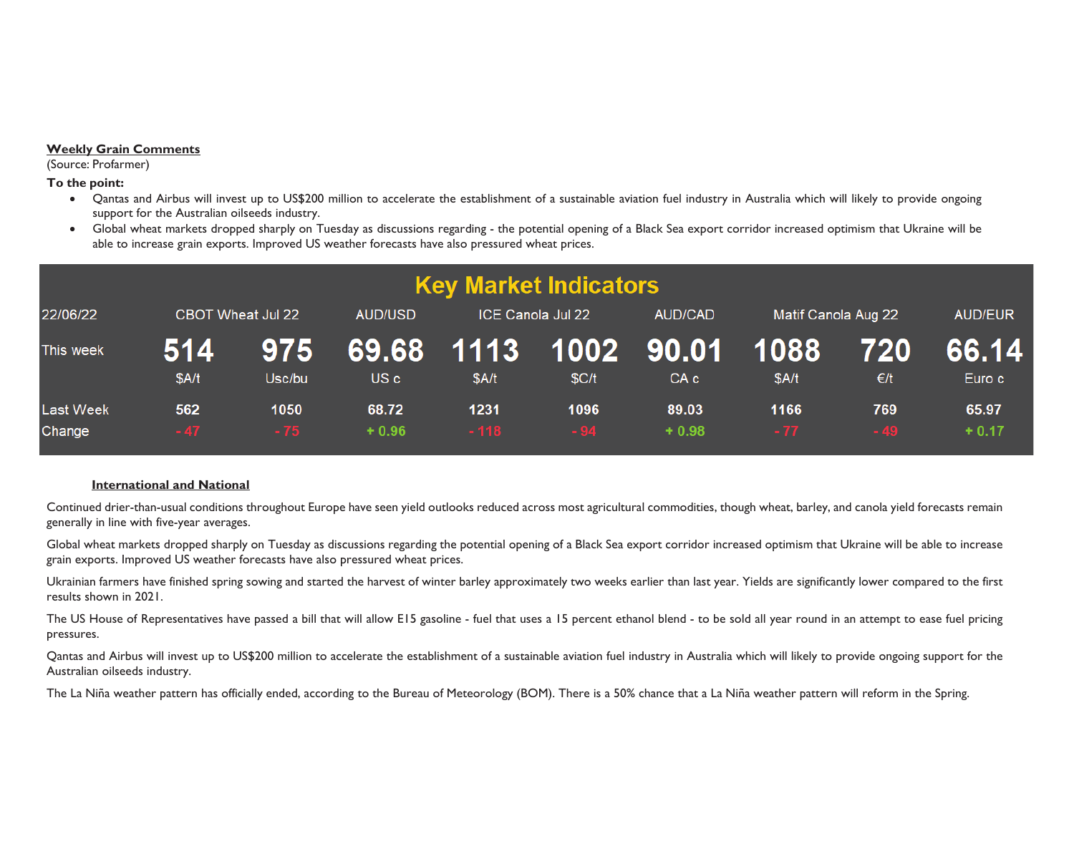### **Weekly Grain Comments**

(Source: Profarmer)

**To the point:** 

- x Qantas and Airbus will invest up to US\$200 million to accelerate the establishment of a sustainable aviation fuel industry in Australia which will likely to provide ongoing support for the Australian oilseeds industry.
- 0 Global wheat markets dropped sharply on Tuesday as discussions regarding - the potential opening of a Black Sea export corridor increased optimism that Ukraine will be able to increase grain exports. Improved US weather forecasts have also pressured wheat prices.

|                            |              |                          |                  |                     | <b>Key Market Indicators</b> |                    |                     |                      |                  |
|----------------------------|--------------|--------------------------|------------------|---------------------|------------------------------|--------------------|---------------------|----------------------|------------------|
| 22/06/22                   |              | <b>CBOT Wheat Jul 22</b> | <b>AUD/USD</b>   |                     | ICE Canola Jul 22            | <b>AUD/CAD</b>     | Matif Canola Aug 22 | <b>AUD/EUR</b>       |                  |
| This week                  | 514<br>\$A/t | 975<br>Usc/bu            | US c             | 69.68 1113<br>\$A/t | \$C/t                        | 1002 90.01<br>CA c | 1088<br>\$A/t       | 720<br>$\epsilon$ /t | 66.14<br>Euro c  |
| <b>Last Week</b><br>Change | 562<br>$-47$ | 1050<br>$-75$            | 68.72<br>$+0.96$ | 1231<br>$-118$      | 1096<br>$-94$                | 89.03<br>$+0.98$   | 1166<br>$-77$       | 769<br>$-49$         | 65.97<br>$+0.17$ |

## **International and National**

Continued drier-than-usual conditions throughout Europe have seen yield outlooks reduced across most agricultural commodities, though wheat, barley, and canola yield forecasts remain generally in line with five-year averages.

Global wheat markets dropped sharply on Tuesday as discussions regarding the potential opening of a Black Sea export corridor increased optimism that Ukraine will be able to increase grain exports. Improved US weather forecasts have also pressured wheat prices.

Ukrainian farmers have finished spring sowing and started the harvest of winter barley approximately two weeks earlier than last year. Yields are significantly lower compared to the first results shown in 2021.

The US House of Representatives have passed a bill that will allow E15 gasoline - fuel that uses a 15 percent ethanol blend - to be sold all year round in an attempt to ease fuel pricing pressures.

Qantas and Airbus will invest up to US\$200 million to accelerate the establishment of a sustainable aviation fuel industry in Australia which will likely to provide ongoing support for the Australian oilseeds industry.

The La Niña weather pattern has officially ended, according to the Bureau of Meteorology (BOM). There is a 50% chance that a La Niña weather pattern will reform in the Spring.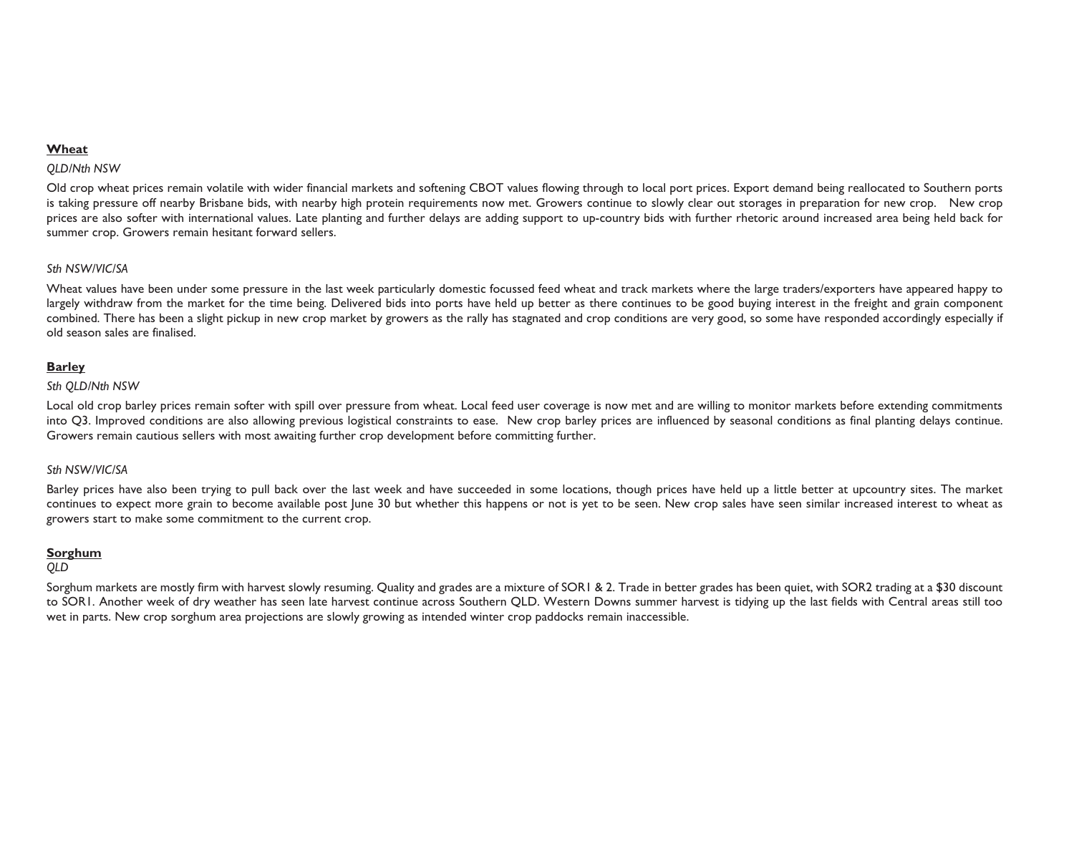## **Wheat**

#### *QLD/Nth NSW*

Old crop wheat prices remain volatile with wider financial markets and softening CBOT values flowing through to local port prices. Export demand being reallocated to Southern ports is taking pressure off nearby Brisbane bids, with nearby high protein requirements now met. Growers continue to slowly clear out storages in preparation for new crop. New crop prices are also softer with international values. Late planting and further delays are adding support to up-country bids with further rhetoric around increased area being held back for summer crop. Growers remain hesitant forward sellers.

## *Sth NSW/VIC/SA*

Wheat values have been under some pressure in the last week particularly domestic focussed feed wheat and track markets where the large traders/exporters have appeared happy to largely withdraw from the market for the time being. Delivered bids into ports have held up better as there continues to be good buying interest in the freight and grain component combined. There has been a slight pickup in new crop market by growers as the rally has stagnated and crop conditions are very good, so some have responded accordingly especially if old season sales are finalised.

#### **Barley**

#### *Sth QLD/Nth NSW*

Local old crop barley prices remain softer with spill over pressure from wheat. Local feed user coverage is now met and are willing to monitor markets before extending commitments into Q3. Improved conditions are also allowing previous logistical constraints to ease. New crop barley prices are influenced by seasonal conditions as final planting delays continue. Growers remain cautious sellers with most awaiting further crop development before committing further.

#### *Sth NSW/VIC/SA*

Barley prices have also been trying to pull back over the last week and have succeeded in some locations, though prices have held up a little better at upcountry sites. The market continues to expect more grain to become available post June 30 but whether this happens or not is yet to be seen. New crop sales have seen similar increased interest to wheat as growers start to make some commitment to the current crop.

#### **Sorghum**

#### *QLD*

Sorghum markets are mostly firm with harvest slowly resuming. Quality and grades are a mixture of SOR1 & 2. Trade in better grades has been quiet, with SOR2 trading at a \$30 discount to SOR1. Another week of dry weather has seen late harvest continue across Southern QLD. Western Downs summer harvest is tidying up the last fields with Central areas still too wet in parts. New crop sorghum area projections are slowly growing as intended winter crop paddocks remain inaccessible.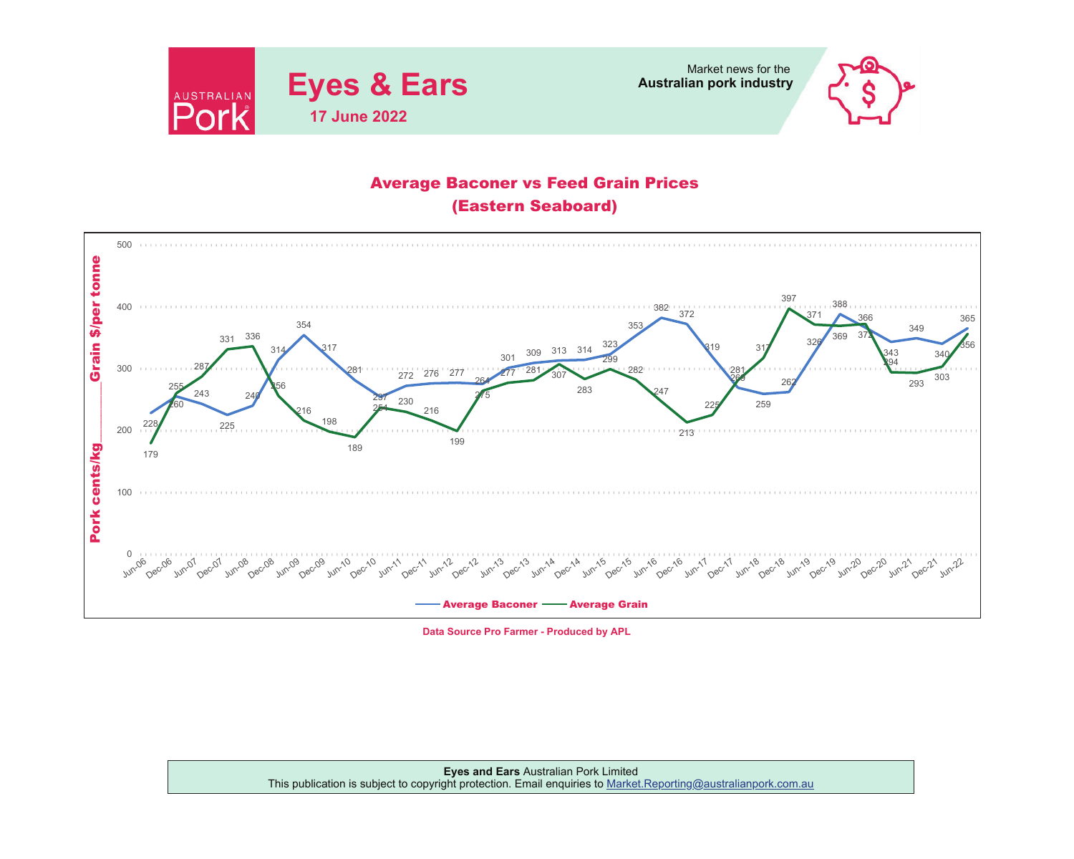



# Average Baconer vs Feed Grain Prices (Eastern Seaboard)



**Data Source Pro Farmer - Produced by APL**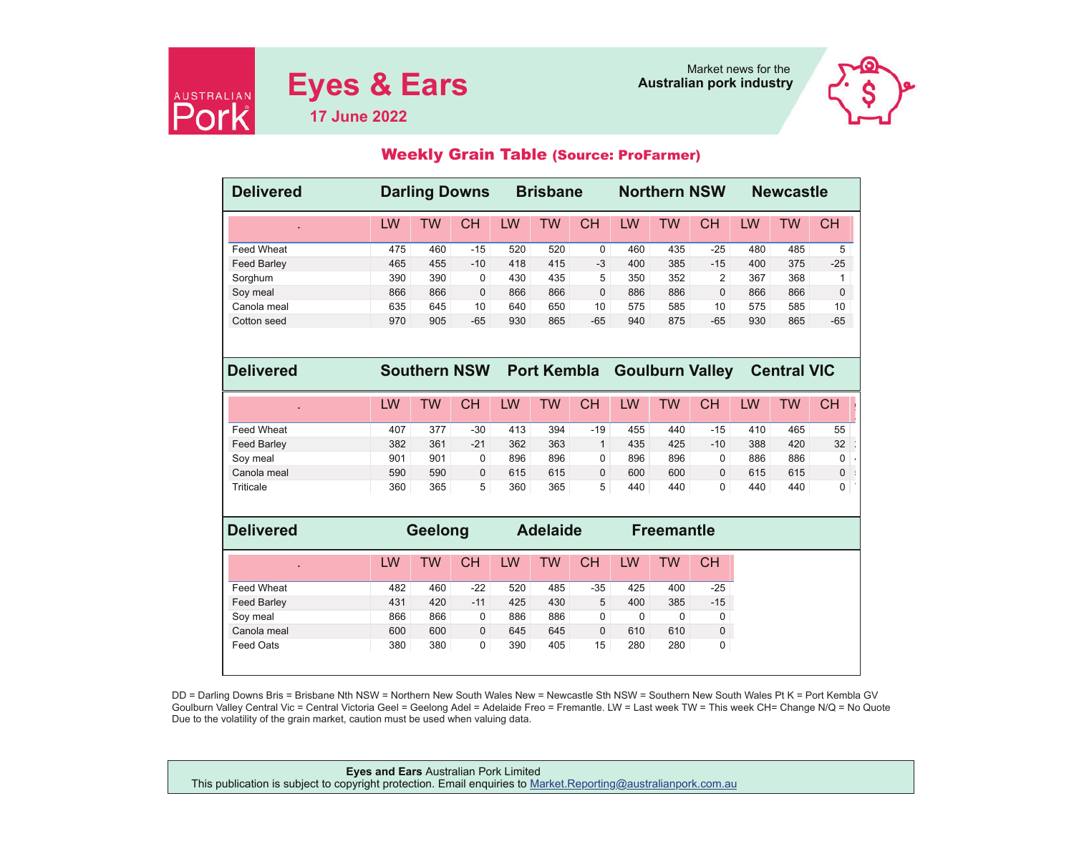



## Weekly Grain Table (Source: ProFarmer)

| <b>Delivered</b>   | <b>Darling Downs</b><br><b>Brisbane</b> |                     |              |                 | <b>Northern NSW</b> |              |     |                   |                        | <b>Newcastle</b> |                    |                 |
|--------------------|-----------------------------------------|---------------------|--------------|-----------------|---------------------|--------------|-----|-------------------|------------------------|------------------|--------------------|-----------------|
|                    | LW                                      | <b>TW</b>           | <b>CH</b>    | LW              | <b>TW</b>           | <b>CH</b>    | LW  | <b>TW</b>         | <b>CH</b>              | LW               | <b>TW</b>          | <b>CH</b>       |
| <b>Feed Wheat</b>  | 475                                     | 460                 | $-15$        | 520             | 520                 | $\mathbf 0$  | 460 | 435               | $-25$                  | 480              | 485                | 5               |
| <b>Feed Barley</b> | 465                                     | 455                 | $-10$        | 418             | 415                 | $-3$         | 400 | 385               | $-15$                  | 400              | 375                | $-25$           |
| Sorghum            | 390                                     | 390                 | $\Omega$     | 430             | 435                 | 5            | 350 | 352               | 2                      | 367              | 368                | 1               |
| Soy meal           | 866                                     | 866                 | 0            | 866             | 866                 | 0            | 886 | 886               | $\mathbf 0$            | 866              | 866                | $\mathbf{0}$    |
| Canola meal        | 635                                     | 645                 | 10           | 640             | 650                 | 10           | 575 | 585               | 10                     | 575              | 585                | 10              |
| Cotton seed        | 970                                     | 905                 | $-65$        | 930             | 865                 | $-65$        | 940 | 875               | $-65$                  | 930              | 865                | $-65$           |
|                    |                                         |                     |              |                 |                     |              |     |                   |                        |                  |                    |                 |
| <b>Delivered</b>   |                                         | <b>Southern NSW</b> |              |                 | <b>Port Kembla</b>  |              |     |                   | <b>Goulburn Valley</b> |                  | <b>Central VIC</b> |                 |
|                    | LW                                      | <b>TW</b>           | <b>CH</b>    | LW              | <b>TW</b>           | <b>CH</b>    | LW  | <b>TW</b>         | <b>CH</b>              | LW               | <b>TW</b>          | <b>CH</b>       |
| <b>Feed Wheat</b>  | 407                                     | 377                 | $-30$        | 413             | 394                 | $-19$        | 455 | 440               | $-15$                  | 410              | 465                | 55              |
| <b>Feed Barley</b> | 382                                     | 361                 | $-21$        | 362             | 363                 | $\mathbf{1}$ | 435 | 425               | $-10$                  | 388              | 420                | 32 <sup>°</sup> |
| Soy meal           | 901                                     | 901                 | 0            | 896             | 896                 | 0            | 896 | 896               | 0                      | 886              | 886                | 0               |
| Canola meal        | 590                                     | 590                 | 0            | 615             | 615                 | 0            | 600 | 600               | $\mathbf{0}$           | 615              | 615                | 0               |
| Triticale          | 360                                     | 365                 | 5            | 360             | 365                 | 5            | 440 | 440               | $\Omega$               | 440              | 440                | 0               |
|                    |                                         |                     |              |                 |                     |              |     |                   |                        |                  |                    |                 |
| <b>Delivered</b>   |                                         | Geelong             |              | <b>Adelaide</b> |                     |              |     | <b>Freemantle</b> |                        |                  |                    |                 |
|                    | LW                                      | <b>TW</b>           | <b>CH</b>    | LW              | <b>TW</b>           | <b>CH</b>    | LW  | <b>TW</b>         | <b>CH</b>              |                  |                    |                 |
| <b>Feed Wheat</b>  | 482                                     | 460                 | $-22$        | 520             | 485                 | $-35$        | 425 | 400               | $-25$                  |                  |                    |                 |
| <b>Feed Barley</b> | 431                                     | 420                 | $-11$        | 425             | 430                 | 5            | 400 | 385               | $-15$                  |                  |                    |                 |
| Soy meal           | 866                                     | 866                 | 0            | 886             | 886                 | 0            | 0   | 0                 | 0                      |                  |                    |                 |
| Canola meal        | 600                                     | 600                 | $\mathbf{0}$ | 645             | 645                 | 0            | 610 | 610               | 0                      |                  |                    |                 |
| <b>Feed Oats</b>   | 380                                     | 380                 | 0            | 390             | 405                 | 15           | 280 | 280               | 0                      |                  |                    |                 |
|                    |                                         |                     |              |                 |                     |              |     |                   |                        |                  |                    |                 |

DD = Darling Downs Bris = Brisbane Nth NSW = Northern New South Wales New = Newcastle Sth NSW = Southern New South Wales Pt K = Port Kembla GV Goulburn Valley Central Vic = Central Victoria Geel = Geelong Adel = Adelaide Freo = Fremantle. LW = Last week TW = This week CH= Change N/Q = No Quote Due to the volatility of the grain market, caution must be used when valuing data.